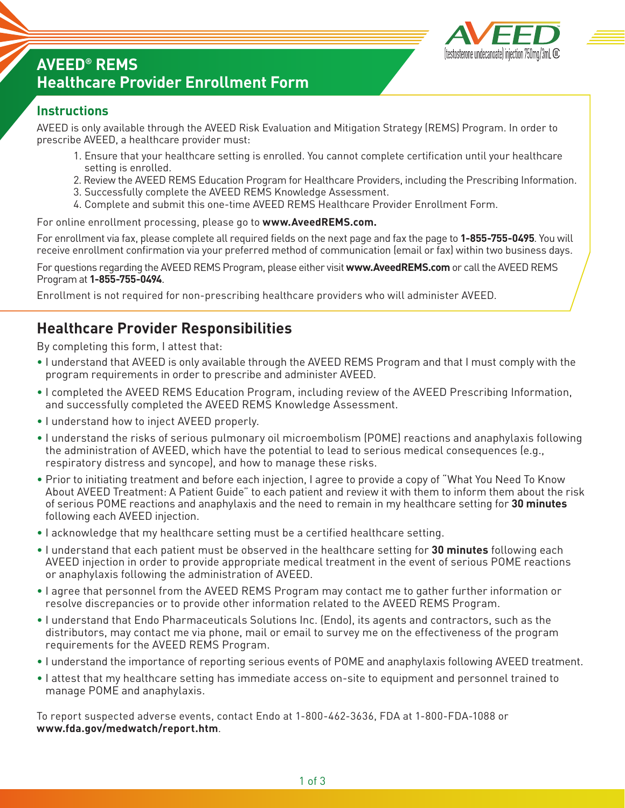

# **AVEED® REMS Healthcare Provider Enrollment Form**

#### **Instructions**

AVEED is only available through the AVEED Risk Evaluation and Mitigation Strategy (REMS) Program. In order to prescribe AVEED, a healthcare provider must:

- 1. Ensure that your healthcare setting is enrolled. You cannot complete certification until your healthcare setting is enrolled.
- 2. Review the AVEED REMS Education Program for Healthcare Providers, including the Prescribing Information.
- 3. Successfully complete the AVEED REMS Knowledge Assessment.
- 4. Complete and submit this one-time AVEED REMS Healthcare Provider Enrollment Form.

For online enrollment processing, please go to **www.AveedREMS.com.**

For enrollment via fax, please complete all required fields on the next page and fax the page to **1-855-755-0495**. You will receive enrollment confirmation via your preferred method of communication (email or fax) within two business days.

For questions regarding the AVEED REMS Program, please either visit **www.AveedREMS.com** or call the AVEED REMS Program at **1-855-755-0494**.

Enrollment is not required for non-prescribing healthcare providers who will administer AVEED.

### **Healthcare Provider Responsibilities**

By completing this form, I attest that:

- I understand that AVEED is only available through the AVEED REMS Program and that I must comply with the program requirements in order to prescribe and administer AVEED.
- I completed the AVEED REMS Education Program, including review of the AVEED Prescribing Information, and successfully completed the AVEED REMS Knowledge Assessment.
- I understand how to inject AVEED properly.
- I understand the risks of serious pulmonary oil microembolism (POME) reactions and anaphylaxis following the administration of AVEED, which have the potential to lead to serious medical consequences (e.g., respiratory distress and syncope), and how to manage these risks.
- Prior to initiating treatment and before each injection, I agree to provide a copy of "What You Need To Know About AVEED Treatment: A Patient Guide" to each patient and review it with them to inform them about the risk of serious POME reactions and anaphylaxis and the need to remain in my healthcare setting for **30 minutes** following each AVEED injection.
- I acknowledge that my healthcare setting must be a certified healthcare setting.
- I understand that each patient must be observed in the healthcare setting for **30 minutes** following each AVEED injection in order to provide appropriate medical treatment in the event of serious POME reactions or anaphylaxis following the administration of AVEED.
- I agree that personnel from the AVEED REMS Program may contact me to gather further information or resolve discrepancies or to provide other information related to the AVEED REMS Program.
- I understand that Endo Pharmaceuticals Solutions Inc. (Endo), its agents and contractors, such as the distributors, may contact me via phone, mail or email to survey me on the effectiveness of the program requirements for the AVEED REMS Program.
- I understand the importance of reporting serious events of POME and anaphylaxis following AVEED treatment.
- I attest that my healthcare setting has immediate access on-site to equipment and personnel trained to manage POME and anaphylaxis.

To report suspected adverse events, contact Endo at 1-800-462-3636, FDA at 1-800-FDA-1088 or **www.fda.gov/medwatch/report.htm**.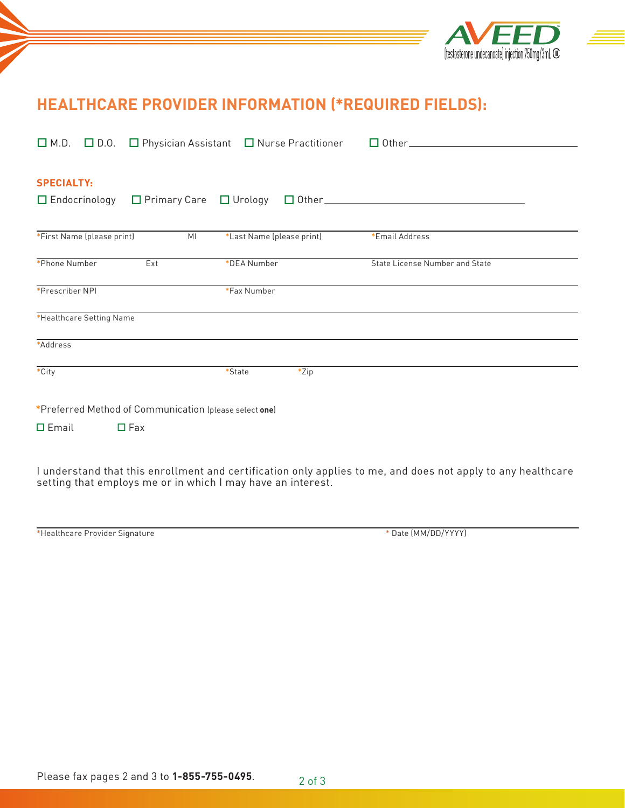

# **HEALTHCARE PROVIDER INFORMATION (\*REQUIRED FIELDS):**

|                                                                                                                                                                             |  | $\Box$ M.D. $\Box$ D.O. $\Box$ Physician Assistant $\Box$ Nurse Practitioner |                           |         |                                |  |  |
|-----------------------------------------------------------------------------------------------------------------------------------------------------------------------------|--|------------------------------------------------------------------------------|---------------------------|---------|--------------------------------|--|--|
| <b>SPECIALTY:</b><br>$\Box$ Endocrinology                                                                                                                                   |  | $\Box$ Primary Care $\Box$ Urology                                           |                           |         |                                |  |  |
| *First Name (please print)                                                                                                                                                  |  | MI                                                                           | *Last Name (please print) |         | *Email Address                 |  |  |
| *Phone Number                                                                                                                                                               |  | Ext                                                                          | *DEA Number               |         | State License Number and State |  |  |
| *Prescriber NPI                                                                                                                                                             |  |                                                                              | *Fax Number               |         |                                |  |  |
| *Healthcare Setting Name                                                                                                                                                    |  |                                                                              |                           |         |                                |  |  |
| *Address                                                                                                                                                                    |  |                                                                              |                           |         |                                |  |  |
| *City                                                                                                                                                                       |  |                                                                              | *State                    | $*$ Zip |                                |  |  |
| *Preferred Method of Communication (please select one)                                                                                                                      |  |                                                                              |                           |         |                                |  |  |
| $\square$ Email                                                                                                                                                             |  | $\Box$ Fax                                                                   |                           |         |                                |  |  |
| I understand that this enrollment and certification only applies to me, and does not apply to any healthcare<br>setting that employs me or in which I may have an interest. |  |                                                                              |                           |         |                                |  |  |

| *Healthcare Provider Signature |  |  |
|--------------------------------|--|--|
|--------------------------------|--|--|

\* Date (MM/DD/YYYY)